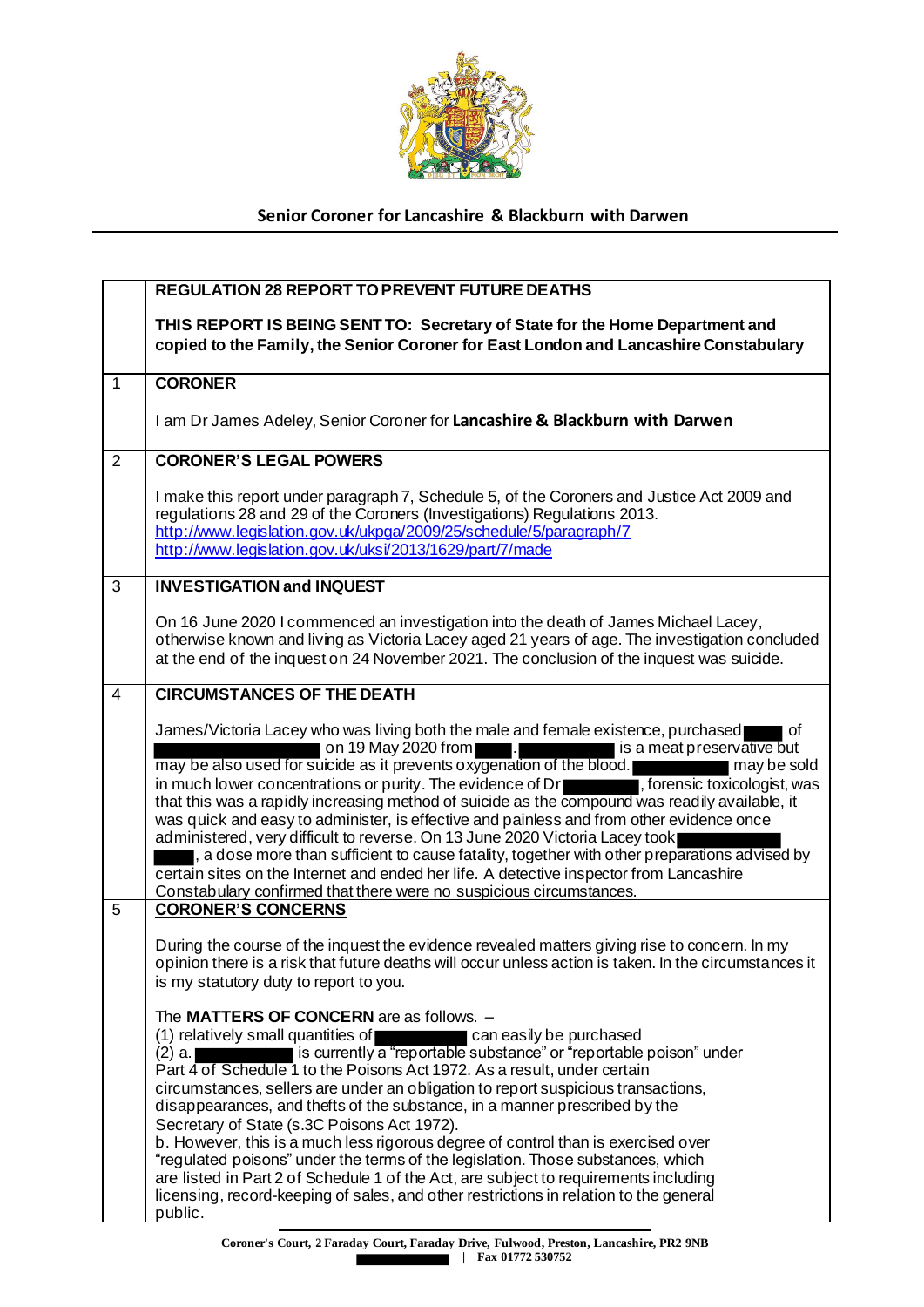

## **Senior Coroner for Lancashire & Blackburn with Darwen**

|                | <b>REGULATION 28 REPORT TO PREVENT FUTURE DEATHS</b>                                                                                                                                                                                                                                                                                                                                                                                                                                                                                                                                                                                                                                                                                                                                                                                                                                                           |
|----------------|----------------------------------------------------------------------------------------------------------------------------------------------------------------------------------------------------------------------------------------------------------------------------------------------------------------------------------------------------------------------------------------------------------------------------------------------------------------------------------------------------------------------------------------------------------------------------------------------------------------------------------------------------------------------------------------------------------------------------------------------------------------------------------------------------------------------------------------------------------------------------------------------------------------|
|                | THIS REPORT IS BEING SENT TO: Secretary of State for the Home Department and<br>copied to the Family, the Senior Coroner for East London and Lancashire Constabulary                                                                                                                                                                                                                                                                                                                                                                                                                                                                                                                                                                                                                                                                                                                                           |
| $\mathbf{1}$   | <b>CORONER</b>                                                                                                                                                                                                                                                                                                                                                                                                                                                                                                                                                                                                                                                                                                                                                                                                                                                                                                 |
|                | I am Dr James Adeley, Senior Coroner for Lancashire & Blackburn with Darwen                                                                                                                                                                                                                                                                                                                                                                                                                                                                                                                                                                                                                                                                                                                                                                                                                                    |
| $\overline{2}$ | <b>CORONER'S LEGAL POWERS</b>                                                                                                                                                                                                                                                                                                                                                                                                                                                                                                                                                                                                                                                                                                                                                                                                                                                                                  |
|                | I make this report under paragraph 7, Schedule 5, of the Coroners and Justice Act 2009 and<br>regulations 28 and 29 of the Coroners (Investigations) Regulations 2013.<br>http://www.legislation.gov.uk/ukpga/2009/25/schedule/5/paragraph/7<br>http://www.legislation.gov.uk/uksi/2013/1629/part/7/made                                                                                                                                                                                                                                                                                                                                                                                                                                                                                                                                                                                                       |
| $\overline{3}$ | <b>INVESTIGATION and INQUEST</b>                                                                                                                                                                                                                                                                                                                                                                                                                                                                                                                                                                                                                                                                                                                                                                                                                                                                               |
|                | On 16 June 2020 I commenced an investigation into the death of James Michael Lacey,<br>otherwise known and living as Victoria Lacey aged 21 years of age. The investigation concluded<br>at the end of the inquest on 24 November 2021. The conclusion of the inquest was suicide.                                                                                                                                                                                                                                                                                                                                                                                                                                                                                                                                                                                                                             |
| $\overline{4}$ | <b>CIRCUMSTANCES OF THE DEATH</b>                                                                                                                                                                                                                                                                                                                                                                                                                                                                                                                                                                                                                                                                                                                                                                                                                                                                              |
|                | James/Victoria Lacey who was living both the male and female existence, purchased<br><sub>of</sub><br>$\blacksquare$<br>on 19 May 2020 from<br>is a meat preservative but<br>may be also used for suicide as it prevents oxygenation of the blood.<br>may be sold<br>in much lower concentrations or purity. The evidence of $Dr$ , forensic toxicologist, was<br>that this was a rapidly increasing method of suicide as the compound was readily available, it<br>was quick and easy to administer, is effective and painless and from other evidence once<br>administered, very difficult to reverse. On 13 June 2020 Victoria Lacey took<br>, a dose more than sufficient to cause fatality, together with other preparations advised by<br>certain sites on the Internet and ended her life. A detective inspector from Lancashire<br>Constabulary confirmed that there were no suspicious circumstances. |
| 5              | <b>CORONER'S CONCERNS</b>                                                                                                                                                                                                                                                                                                                                                                                                                                                                                                                                                                                                                                                                                                                                                                                                                                                                                      |
|                | During the course of the inquest the evidence revealed matters giving rise to concern. In my<br>opinion there is a risk that future deaths will occur unless action is taken. In the circumstances it<br>is my statutory duty to report to you.                                                                                                                                                                                                                                                                                                                                                                                                                                                                                                                                                                                                                                                                |
|                | The MATTERS OF CONCERN are as follows. -<br>(1) relatively small quantities of<br>can easily be purchased<br>is currently a "reportable substance" or "reportable poison" under<br>(2) a.<br>Part 4 of Schedule 1 to the Poisons Act 1972. As a result, under certain<br>circumstances, sellers are under an obligation to report suspicious transactions,<br>disappearances, and thefts of the substance, in a manner prescribed by the<br>Secretary of State (s.3C Poisons Act 1972).<br>b. However, this is a much less rigorous degree of control than is exercised over<br>"regulated poisons" under the terms of the legislation. Those substances, which<br>are listed in Part 2 of Schedule 1 of the Act, are subject to requirements including<br>licensing, record-keeping of sales, and other restrictions in relation to the general<br>public.                                                    |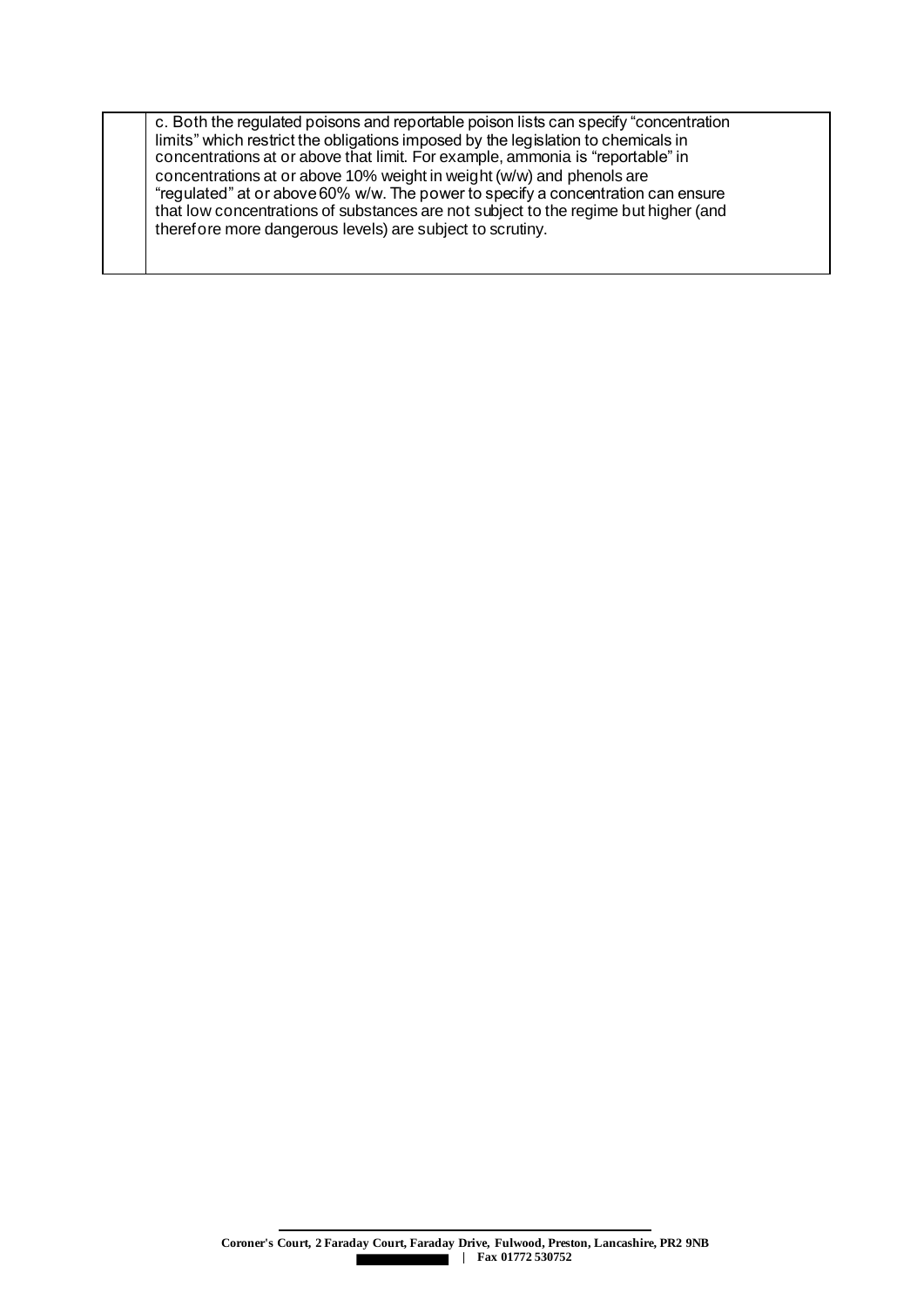c. Both the regulated poisons and reportable poison lists can specify "concentration limits" which restrict the obligations imposed by the legislation to chemicals in concentrations at or above that limit. For example, ammonia is "reportable" in concentrations at or above 10% weight in weight (w/w) and phenols are "regulated" at or above 60% w/w. The power to specify a concentration can ensure that low concentrations of substances are not subject to the regime but higher (and therefore more dangerous levels) are subject to scrutiny.